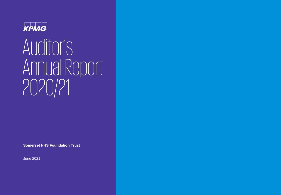

# Auditor's Annual Report 2020/21

**Somerset NHS Foundation Trust**

June 2021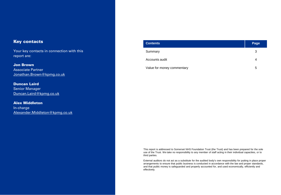### Key contacts

Your key contacts in connection with this report are:

Jon Brown Associate Partner Jonathan.Brown@kpmg.co.uk

Duncan Laird Senior Manager Duncan.Laird@kpmg.co.uk

Alex Middleton In-charge Alexander.Middleton@kpmg.co.uk

| <b>Contents</b>            | Page |
|----------------------------|------|
| Summary                    | 3    |
| Accounts audit             | 4    |
| Value for money commentary | 5    |

This report is addressed to Somerset NHS Foundation Trust (the Trust) and has been prepared for the sole use of the Trust. We take no responsibility to any member of staff acting in their individual capacities, or to third parties.

External auditors do not act as a substitute for the audited body's own responsibility for putting in place proper arrangements to ensure that public business is conducted in accordance with the law and proper standards, and that public money is safeguarded and properly accounted for, and used economically, efficiently and effectively.

 $2021$  KPMG LLP, a uK limited liability partnership and a member firms affiliated with KPMG global organisation of independent member firms affiliated with KPMG International Limited, a privated with KPMG International Li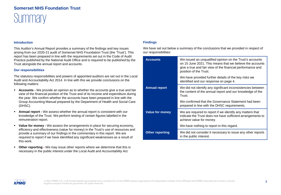### **Somerset NHS Foundation Trust**

## **Summary**

#### **Introduction**

This Auditor's Annual Report provides a summary of the findings and key issues arising from our 2020-21 audit of Somerset NHS Foundation Trust (the 'Trust'). This report has been prepared in line with the requirements set out in the Code of Audit Practice published by the National Audit Office and is required to be published by the Trust alongside the annual report and accounts.

#### **Our responsibilities**

The statutory responsibilities and powers of appointed auditors are set out in the Local Audit and Accountability Act 2014. In line with this we provide conclusions on the following matters:

- **Accounts -** We provide an opinion as to whether the accounts give a true and fair view of the financial position of the Trust and of its income and expenditure during the year. We confirm whether the accounts have been prepared in line with the Group Accounting Manual prepared by the Department of Health and Social Care (DHSC).
- **Annual report -** We assess whether the annual report is consistent with our knowledge of the Trust. We perform testing of certain figures labelled in the remuneration report.
- **Value for money -** We assess the arrangements in place for securing economy, efficiency and effectiveness (value for money) in the Trust's use of resources and provide a summary of our findings in the commentary in this report. We are required to report if we have identified any significant weaknesses as a result of this work.
- **Other reporting -** We may issue other reports where we determine that this is necessary in the public interest under the Local Audit and Accountability Act.

### **Findings**

We have set out below a summary of the conclusions that we provided in respect of our responsibilities:

| <b>Accounts</b>        | We issued an unqualified opinion on the Trust's accounts<br>on 15 June 2021. This means that we believe the accounts<br>give a true and fair view of the financial performance and<br>position of the Trust. |
|------------------------|--------------------------------------------------------------------------------------------------------------------------------------------------------------------------------------------------------------|
|                        | We have provided further details of the key risks we<br>identified and our response on page 4.                                                                                                               |
| <b>Annual report</b>   | We did not identify any significant inconsistencies between<br>the content of the annual report and our knowledge of the<br>Trust.                                                                           |
|                        | We confirmed that the Governance Statement had been<br>prepared in line with the DHSC requirements.                                                                                                          |
| <b>Value for money</b> | We are required to report if we identify any matters that<br>indicate the Trust does not have sufficient arrangements to<br>achieve value for money.                                                         |
|                        | We have nothing to report in this regard.                                                                                                                                                                    |
| <b>Other reporting</b> | We did not consider it necessary to issue any other reports<br>in the public interest.                                                                                                                       |

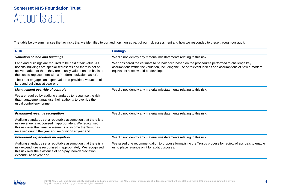### Accounts audit **Somerset NHS Foundation Trust**

The table below summarises the key risks that we identified to our audit opinion as part of our risk assessment and how we responded to these through our audit.

| <b>Risk</b>                                                                                                                                                                                                                                                   | <b>Findings</b>                                                                                                                                                                                                                                 |
|---------------------------------------------------------------------------------------------------------------------------------------------------------------------------------------------------------------------------------------------------------------|-------------------------------------------------------------------------------------------------------------------------------------------------------------------------------------------------------------------------------------------------|
| <b>Valuation of land and buildings</b>                                                                                                                                                                                                                        | We did not identify any material misstatements relating to this risk.                                                                                                                                                                           |
| Land and buildings are required to be held at fair value. As<br>hospital buildings are specialised assets and there is not an<br>active market for them they are usually valued on the basis of<br>the cost to replace them with a 'modern equivalent asset'. | We considered the estimate to be balanced based on the procedures performed to challenge key<br>assumptions within the valuation, including the use of relevant indices and assumptions of how a modern<br>equivalent asset would be developed. |
| The Trust engages an expert valuer to provide a valuation of<br>land and buildings at year end.                                                                                                                                                               |                                                                                                                                                                                                                                                 |
| <b>Management override of controls</b>                                                                                                                                                                                                                        | We did not identify any material misstatements relating to this risk.                                                                                                                                                                           |
| We are required by auditing standards to recognise the risk<br>that management may use their authority to override the<br>usual control environment.                                                                                                          |                                                                                                                                                                                                                                                 |
| <b>Fraudulent revenue recognition</b>                                                                                                                                                                                                                         | We did not identify any material misstatements relating to this risk.                                                                                                                                                                           |
| Auditing standards set a rebuttable assumption that there is a<br>risk revenue is recognised inappropriately. We recognised<br>this risk over the variable elements of income the Trust has<br>received during the year and recognition at year end.          |                                                                                                                                                                                                                                                 |
| <b>Fraudulent expenditure recognition</b>                                                                                                                                                                                                                     | We did not identify any material misstatements relating to this risk.                                                                                                                                                                           |
| Auditing standards set a rebuttable assumption that there is a<br>risk expenditure is recognised inappropriately. We recognised<br>this risk over the existence of non-pay, non-depreciation<br>expenditure at year end.                                      | We raised one recommendation to propose formalising the Trust's process for review of accruals to enable<br>us to place reliance on it for audit purposes.                                                                                      |

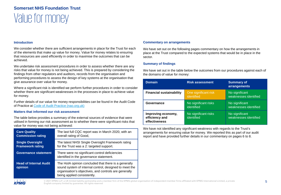#### **Introduction**

We consider whether there are sufficient arrangements in place for the Trust for each of the elements that make up value for money. Value for money relates to ensuring that resources are used efficiently in order to maximise the outcomes that can be achieved.

We undertake risk assessment procedures in order to assess whether there are any risks that value for money is not being achieved. This is prepared by considering the findings from other regulators and auditors, records from the organisation and performing procedures to assess the design of key systems at the organisation that give assurance over value for money.

Where a significant risk is identified we perform further procedures in order to consider whether there are significant weaknesses in the processes in place to achieve value for money.

Further details of our value for money responsibilities can be found in the Audit Code of Practice at [Code of Audit Practice \(nao.org.uk\)](https://www.nao.org.uk/code-audit-practice/wp-content/uploads/sites/29/2020/01/Code_of_audit_practice_2020.pdf)

### **Matters that informed our risk assessment**

The table below provides a summary of the external sources of evidence that were utilised in forming our risk assessment as to whether there were significant risks that value for money was not being achieved:

| <b>Care Quality</b>                      | The last full CQC report was in March 2020, with an                                                                                                                                                    |
|------------------------------------------|--------------------------------------------------------------------------------------------------------------------------------------------------------------------------------------------------------|
| <b>Commission rating</b>                 | overall rating of Good,                                                                                                                                                                                |
| <b>Single Oversight</b>                  | The latest NHSI Single Oversight Framework rating                                                                                                                                                      |
| <b>Framework rating</b>                  | for the Trust was a 2: targeted support.                                                                                                                                                               |
| <b>Governance statement</b>              | There were no significant control deficiencies<br>identified in the governance statement.                                                                                                              |
| <b>Head of Internal Audit</b><br>opinion | The HoIA opinion concluded that there is a generally<br>sound system of internal control, designed to meet the<br>organisation's objectives, and controls are generally<br>being applied consistently. |

#### **Commentary on arrangements**

We have set out on the following pages commentary on how the arrangements in place at the Trust compared to the expected systems that would be in place in the sector.

#### **Summary of findings**

We have set out in the table below the outcomes from our procedures against each of the domains of value for money:

| <b>Domain</b>                                         | <b>Risk assessment</b>             | <b>Summary of</b><br>arrangements       |
|-------------------------------------------------------|------------------------------------|-----------------------------------------|
| <b>Financial sustainability</b>                       | One significant risk<br>identified | No significant<br>weaknesses identified |
| Governance                                            | No significant risks<br>identified | No significant<br>weaknesses identified |
| Improving economy,<br>efficiency and<br>effectiveness | No significant risks<br>identified | No significant<br>weaknesses identified |

We have not identified any significant weakness with regards to the Trust's arrangements for ensuring value for money. We reported this as part of our audit report and have provided further details in our commentary on pages 6 to 8.

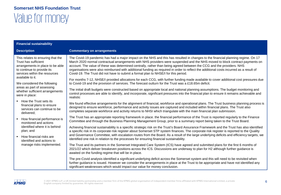| <b>Financial sustainability</b>                                                                                                                              |                                                                                                                                                                                                                                                                                                                                                                                                                                                                                                                                                                                                                             |
|--------------------------------------------------------------------------------------------------------------------------------------------------------------|-----------------------------------------------------------------------------------------------------------------------------------------------------------------------------------------------------------------------------------------------------------------------------------------------------------------------------------------------------------------------------------------------------------------------------------------------------------------------------------------------------------------------------------------------------------------------------------------------------------------------------|
| <b>Description</b>                                                                                                                                           | <b>Commentary on arrangements</b>                                                                                                                                                                                                                                                                                                                                                                                                                                                                                                                                                                                           |
| This relates to ensuring that the<br>Trust has sufficient<br>arrangements in place to be able<br>to continue to provide its<br>services within the resources | The Covid-19 pandemic has had a major impact on the NHS and this has resulted in changes to the financial planning regime. On 17<br>March 2020 normal contractual arrangements with NHS providers were suspended and the NHS moved to block contract payments on<br>account. The value of these was determined centrally, rather than being agreed between the CCG and the providers. NHS<br>organisations were also reimbursed with additional funding as required in order to reflect the additional costs incurred as a result of<br>Covid-19. The Trust did not have to submit a formal plan to NHSE/I for this period. |
| available to it.<br>We considered the following                                                                                                              | For months 7-12, NHSE/I provided allocations for each CCG, with further funding made available to cover additional cost pressures due<br>to Covid-19 and the provision of services. The forecast outturn for the Trust was a £18.65m deficit.                                                                                                                                                                                                                                                                                                                                                                               |
| areas as part of assessing<br>whether sufficient arrangements<br>were in place:                                                                              | The initial draft budgets were constructed based on appropriate local and national planning assumptions. The budget monitoring and<br>control processes are able to identify, and incorporate, significant pressures into the financial plan to ensure it remains achievable and<br>realistic                                                                                                                                                                                                                                                                                                                               |
| • How the Trust sets its<br>financial plans to ensure<br>services can continue to be<br>delivered;                                                           | We found effective arrangements for the alignment of financial, workforce and operational plans. The Trust business planning process is<br>designed to ensure workforce, performance and activity issues are captured and included within financial plans. The Trust also<br>completes separate workforce and activity returns to NHSI which triangulate with the main financial plan submission.                                                                                                                                                                                                                           |
| How financial performance is<br>monitored and actions                                                                                                        | The Trust has an appropriate reporting framework in place. the financial performance of the Trust is reported regularly to the Finance<br>Committee and through the Business Planning Management Group, prior to a summary report being taken to the Trust Board.                                                                                                                                                                                                                                                                                                                                                           |
| identified where it is behind<br>plan; and<br>How financial risks are<br>identified and actions to<br>manage risks implemented.                              | Achieving financial sustainability is a specific strategic risk on the Trust's Board Assurance Framework and the Trust has also identified<br>a specific risk in its corporate risk register about Somerset STP system finances. The corporate risk register is reported to the Quality<br>and Governance Committee, with escalation routes from the Board. As a result of the large underlying deficits and efficiency targets, we                                                                                                                                                                                         |
|                                                                                                                                                              | identified one risk in relation to the processes for ensuring financial sustainability.                                                                                                                                                                                                                                                                                                                                                                                                                                                                                                                                     |
|                                                                                                                                                              | The Trust and its partners in the Somerset Integrated Care System (ICS) have agreed and submitted plans for the first 6 months of<br>2021/22 which deliver breakeven positions across the ICS. Discussions are underway to plan for H2 although further guidance is<br>awaited on the funding regime that will be in place.                                                                                                                                                                                                                                                                                                 |
|                                                                                                                                                              | The pre-Covid analysis identified a significant underlying deficit across the Somerset system and this will need to be revisited when<br>further guidance is issued. However we consider the arrangements in place at the Trust to be appropriate and have not identified any<br>significant weaknesses which would impact our value for money conclusion.                                                                                                                                                                                                                                                                  |

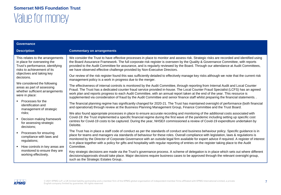| Governance                                                                                                                         |                                                                                                                                                                                                                                                                                                                                                                                                                                                                                                                                                                          |
|------------------------------------------------------------------------------------------------------------------------------------|--------------------------------------------------------------------------------------------------------------------------------------------------------------------------------------------------------------------------------------------------------------------------------------------------------------------------------------------------------------------------------------------------------------------------------------------------------------------------------------------------------------------------------------------------------------------------|
| <b>Description</b>                                                                                                                 | <b>Commentary on arrangements</b>                                                                                                                                                                                                                                                                                                                                                                                                                                                                                                                                        |
| This relates to the arrangements<br>in place for overseeing the<br>Trust's performance, identifying<br>risks to achievement of its | We consider the Trust to have effective processes in place to monitor and assess risk. Strategic risks are recorded and identified using<br>the Board Assurance Framework. The full corporate risk register is overseen by the Quality & Governance Committee, with reports<br>provided to the Audit Committee for assurance, and is regularly reviewed by the Board. Through our attendance at Audit Committees,<br>we have observed effective challenge provided by Non-Executive Directors.                                                                           |
| objectives and taking key<br>decisions.                                                                                            | Our review of the risk register found this was sufficiently detailed to effectively manage key risks although we note that the current risk<br>management policy is a work in progress due to the merger.                                                                                                                                                                                                                                                                                                                                                                |
| We considered the following<br>areas as part of assessing<br>whether sufficient arrangements<br>were in place:                     | The effectiveness of internal controls is monitored by the Audit Committee, through reporting from Internal Audit and Local Counter<br>Fraud. The Trust has a dedicated counter fraud service provided in-house. The Local Counter Fraud Specialist (LCFS) has an agreed<br>work plan and reports progress to each Audit Committee, with an annual report taken at the end of the year. This resource is<br>supplemented via consideration of fraud by the Audit Committee and senior finance staff whilst preparing the financial statements. .                         |
| • Processes for the<br>identification and<br>management of strategic                                                               | The financial planning regime has significantly changed for 2020-21. The Trust has maintained oversight of performance (both financial<br>and operational) through review at the Business Planning Management Group, Finance Committee and the Trust Board.                                                                                                                                                                                                                                                                                                              |
| risks;<br>Decision making framework<br>for assessing strategic<br>decisions;                                                       | We also found appropriate processes in place to ensure accurate recording and monitoring of the additional costs associated with<br>Covid-19: the Trust implemented a specific financial regime during the first wave of the pandemic including setting up specific cost<br>centres for Covid-19 costs to be captured. During the year, NHSE/I commissioned a review of Covid-19 expenditure undertaken by<br>Deloitte.                                                                                                                                                  |
| Processes for ensuring<br>compliance with laws and<br>regulations;                                                                 | The Trust has in place a staff code of conduct as per the standards of conduct and business behaviour policy. Specific guidance is in<br>place for teams and managers via standards of behaviour for these roles. Overall compliance with legislation, laws & regulations is<br>monitored by the Director of Corporate Governance with an outside legal firm available for expert advice if required. A register of interest<br>is in place together with a policy for gifts and hospitality with regular reporting of entries on the register taking place to the Audit |
| How controls in key areas are<br>monitored to ensure they are<br>working effectively.                                              | Committee.<br>Key strategic decisions are made via the Trust's governance process. A scheme of delegation is in place which sets out where different<br>decisions/approvals should take place. Major decisions require business cases to be approved through the relevant oversight group,<br>such as the Strategic Estates Group                                                                                                                                                                                                                                        |

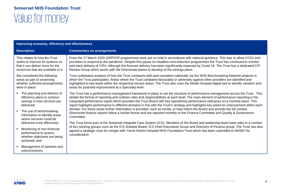| Improving economy, efficiency and effectiveness                                                                                                                                                                                                                                                                                         |                                                                                                                                                                                                                                                                                                                                                                                                                                                                                                                                                                                                                                                                                                                                                                                                                                                                                                                                                                                                                                                                                                                                                                                                                                                                             |
|-----------------------------------------------------------------------------------------------------------------------------------------------------------------------------------------------------------------------------------------------------------------------------------------------------------------------------------------|-----------------------------------------------------------------------------------------------------------------------------------------------------------------------------------------------------------------------------------------------------------------------------------------------------------------------------------------------------------------------------------------------------------------------------------------------------------------------------------------------------------------------------------------------------------------------------------------------------------------------------------------------------------------------------------------------------------------------------------------------------------------------------------------------------------------------------------------------------------------------------------------------------------------------------------------------------------------------------------------------------------------------------------------------------------------------------------------------------------------------------------------------------------------------------------------------------------------------------------------------------------------------------|
| <b>Description</b>                                                                                                                                                                                                                                                                                                                      | <b>Commentary on arrangements</b>                                                                                                                                                                                                                                                                                                                                                                                                                                                                                                                                                                                                                                                                                                                                                                                                                                                                                                                                                                                                                                                                                                                                                                                                                                           |
| This relates to how the Trust<br>seeks to improve its systems so<br>that it can deliver more for the<br>resources that are available to it.                                                                                                                                                                                             | From the 17 March 2020 QIPP/CIP programmes were put on hold in accordance with national guidance. This was to allow CCGs and<br>providers to respond to the pandemic. Despite this pause on headline cost reduction programmes the Trust has continued to monitor<br>and track delivery of CIPs, although the forecast delivery has been significantly impacted by Covid-19. The Trust has a dedicated CIP<br>Review Group which works with the Directorate teams to develop of the savings plans.                                                                                                                                                                                                                                                                                                                                                                                                                                                                                                                                                                                                                                                                                                                                                                          |
| We considered the following<br>areas as part of assessing<br>whether sufficient arrangements<br>were in place:                                                                                                                                                                                                                          | Trust undertakes analysis of how the Trust compares with peer providers nationally via the NHS Benchmarking Network projects in<br>which the Trust participates. Areas where the Trust compares favourably or adversely against other providers are identified and<br>highlighted to key leads within the respective service areas. The Trust also uses the Model Hospital digital tool to identify variation and<br>areas for potential improvement at a Speciality level.                                                                                                                                                                                                                                                                                                                                                                                                                                                                                                                                                                                                                                                                                                                                                                                                 |
| The planning and delivery of<br>efficiency plans to achieve<br>savings in how services are<br>delivered:<br>The use of benchmarking<br>information to identify areas<br>where services could be<br>delivered more effectively;<br>Monitoring of non-financial<br>performance to assess<br>whether objectives are being<br>achieved: and | The Trust has a performance management framework in place to set the structure of performance management across the Trust. This<br>details the format of reporting and outlines roles and responsibilities at each level. The main element of performance reporting is the<br>integrated performance report which provides the Trust Board with key operational performance indicators on a monthly basis. This<br>report highlights performance in different domains in line with the Trust's strategy and highlights key areas for improvement within each<br>domain. For these areas further information is provided, such as trends, to help inform the Board and provide the full context.<br>Directorate finance reports follow a similar format and are reported monthly to the Finance Committee and Quality & Governance<br>Committee.<br>The Trust forms part of the Somerset Integrate Care System (ICS). Members of the Board and leadership team have roles in a number<br>of key working groups such as the ICS Shadow Board, ICS Chief Executives Group and Directors of Finance group. The Trust has also<br>agreed a strategic case for merger with Yeovil District Hospital NHS Foundation Trust which has been submitted to NHSE/I for<br>consideration. |
| Management of partners and<br>subcontractors.                                                                                                                                                                                                                                                                                           |                                                                                                                                                                                                                                                                                                                                                                                                                                                                                                                                                                                                                                                                                                                                                                                                                                                                                                                                                                                                                                                                                                                                                                                                                                                                             |